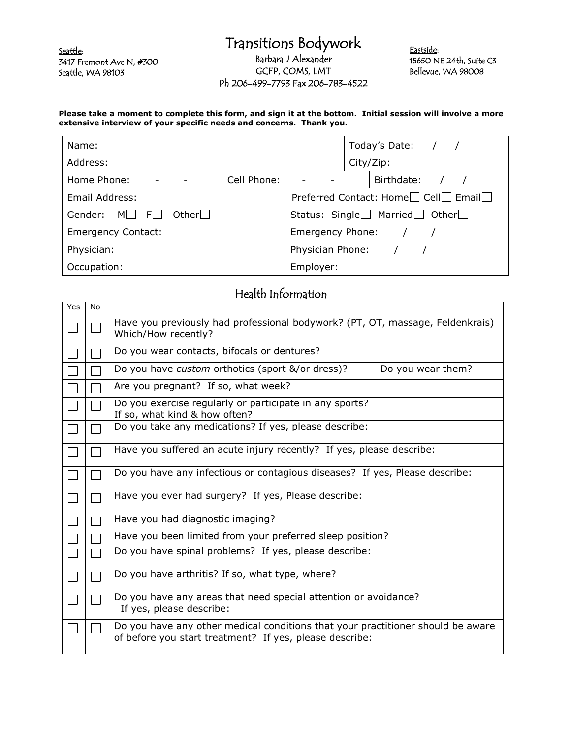Seattle: 3417 Fremont Ave N, #300 Seattle, WA 98103

## Transitions Bodywork Barbara J Alexander GCFP, COMS, LMT Ph 206-499-7793 Fax 206-783-4522

Eastside: 15650 NE 24th, Suite C3 Bellevue, WA 98008

## **Please take a moment to complete this form, and sign it at the bottom. Initial session will involve a more extensive interview of your specific needs and concerns. Thank you.**

| Name:                                   | Today's Date: /                                                           |  |
|-----------------------------------------|---------------------------------------------------------------------------|--|
| Address:                                | City/Zip:                                                                 |  |
| Cell Phone:<br>Home Phone:              | Birthdate:<br>$\qquad \qquad \blacksquare$                                |  |
| Email Address:                          | Preferred Contact: Home <sup>1</sup> Cell <sup>1</sup> Email <sup>1</sup> |  |
| Other $\Box$<br>Gender:<br>MI I<br>FL 1 | Status: Single $\Box$ Married $\Box$ Other $\Box$                         |  |
| <b>Emergency Contact:</b>               | Emergency Phone:                                                          |  |
| Physician:                              | Physician Phone:                                                          |  |
| Occupation:                             | Employer:                                                                 |  |

## Health Information

| Yes            | <b>No</b>                   |                                                                                                                                            |
|----------------|-----------------------------|--------------------------------------------------------------------------------------------------------------------------------------------|
| $\mathbb{R}^2$ | $\mathcal{L}^{\mathcal{A}}$ | Have you previously had professional bodywork? (PT, OT, massage, Feldenkrais)<br>Which/How recently?                                       |
|                |                             | Do you wear contacts, bifocals or dentures?                                                                                                |
|                |                             | Do you have custom orthotics (sport &/or dress)?<br>Do you wear them?                                                                      |
|                |                             | Are you pregnant? If so, what week?                                                                                                        |
| $\mathbf{I}$   |                             | Do you exercise regularly or participate in any sports?<br>If so, what kind & how often?                                                   |
|                |                             | Do you take any medications? If yes, please describe:                                                                                      |
| $\Box$         |                             | Have you suffered an acute injury recently? If yes, please describe:                                                                       |
|                |                             | Do you have any infectious or contagious diseases? If yes, Please describe:                                                                |
|                |                             | Have you ever had surgery? If yes, Please describe:                                                                                        |
|                |                             | Have you had diagnostic imaging?                                                                                                           |
|                |                             | Have you been limited from your preferred sleep position?                                                                                  |
|                |                             | Do you have spinal problems? If yes, please describe:                                                                                      |
|                |                             | Do you have arthritis? If so, what type, where?                                                                                            |
|                |                             | Do you have any areas that need special attention or avoidance?<br>If yes, please describe:                                                |
|                |                             | Do you have any other medical conditions that your practitioner should be aware<br>of before you start treatment? If yes, please describe: |